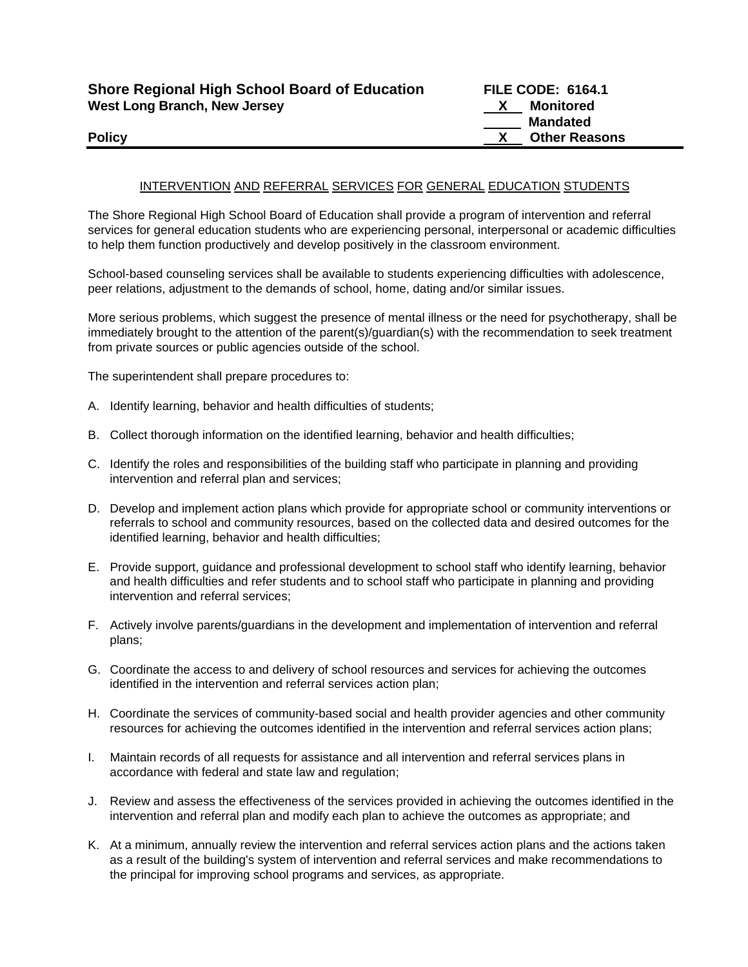| <b>Shore Regional High School Board of Education</b> | <b>FILE CODE: 6164.1</b> |                      |
|------------------------------------------------------|--------------------------|----------------------|
| West Long Branch, New Jersey                         |                          | Monitored            |
|                                                      |                          | Mandated             |
| <b>Policy</b>                                        |                          | <b>Other Reasons</b> |

## INTERVENTION AND REFERRAL SERVICES FOR GENERAL EDUCATION STUDENTS

The Shore Regional High School Board of Education shall provide a program of intervention and referral services for general education students who are experiencing personal, interpersonal or academic difficulties to help them function productively and develop positively in the classroom environment.

School-based counseling services shall be available to students experiencing difficulties with adolescence, peer relations, adjustment to the demands of school, home, dating and/or similar issues.

More serious problems, which suggest the presence of mental illness or the need for psychotherapy, shall be immediately brought to the attention of the parent(s)/guardian(s) with the recommendation to seek treatment from private sources or public agencies outside of the school.

The superintendent shall prepare procedures to:

- A. Identify learning, behavior and health difficulties of students;
- B. Collect thorough information on the identified learning, behavior and health difficulties;
- C. Identify the roles and responsibilities of the building staff who participate in planning and providing intervention and referral plan and services;
- D. Develop and implement action plans which provide for appropriate school or community interventions or referrals to school and community resources, based on the collected data and desired outcomes for the identified learning, behavior and health difficulties;
- E. Provide support, guidance and professional development to school staff who identify learning, behavior and health difficulties and refer students and to school staff who participate in planning and providing intervention and referral services;
- F. Actively involve parents/guardians in the development and implementation of intervention and referral plans;
- G. Coordinate the access to and delivery of school resources and services for achieving the outcomes identified in the intervention and referral services action plan;
- H. Coordinate the services of community-based social and health provider agencies and other community resources for achieving the outcomes identified in the intervention and referral services action plans;
- I. Maintain records of all requests for assistance and all intervention and referral services plans in accordance with federal and state law and regulation;
- J. Review and assess the effectiveness of the services provided in achieving the outcomes identified in the intervention and referral plan and modify each plan to achieve the outcomes as appropriate; and
- K. At a minimum, annually review the intervention and referral services action plans and the actions taken as a result of the building's system of intervention and referral services and make recommendations to the principal for improving school programs and services, as appropriate.